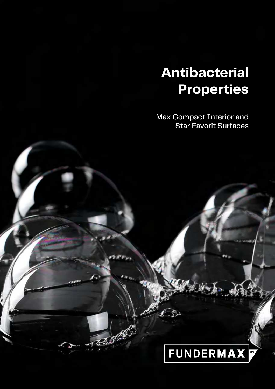# **Antibacterial Properties**

Max Compact Interior and Star Favorit Surfaces

# **FUNDERMAX**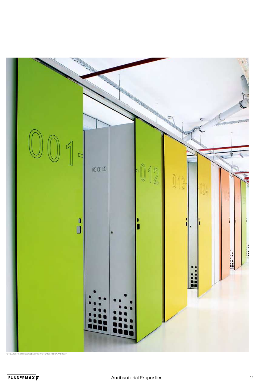

FOTO: ARCHITEKT PRODUKCIJA 004 DAVOR KATUSIC, D.I.A. AND TEAM

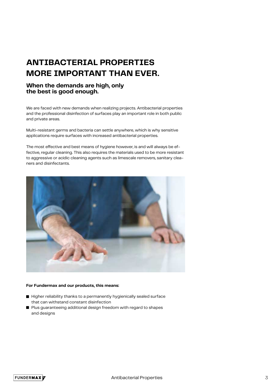## **ANTIBACTERIAL PROPERTIES MORE IMPORTANT THAN EVER.**

#### **When the demands are high, only the best is good enough.**

We are faced with new demands when realizing projects. Antibacterial properties and the professional disinfection of surfaces play an important role in both public and private areas.

Multi-resistant germs and bacteria can settle anywhere, which is why sensitive applications require surfaces with increased antibacterial properties.

The most effective and best means of hygiene however, is and will always be effective, regular cleaning. This also requires the materials used to be more resistant to aggressive or acidic cleaning agents such as limescale removers, sanitary cleaners and disinfectants.



#### **For Fundermax and our products, this means:**

- Higher reliability thanks to a permanently hygienically sealed surface that can withstand constant disinfection
- Plus guaranteeing additional design freedom with regard to shapes and designs

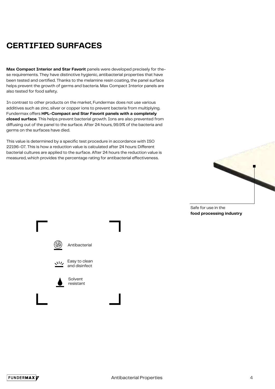## **CERTIFIED SURFACES**

**Max Compact Interior and Star Favorit** panels were developed precisely for these requirements. They have distinctive hygienic, antibacterial properties that have been tested and certified. Thanks to the melamine resin coating, the panel surface helps prevent the growth of germs and bacteria. Max Compact Interior panels are also tested for food safety.

In contrast to other products on the market, Fundermax does not use various additives such as zinc, silver or copper ions to prevent bacteria from multiplying. Fundermax offers **HPL-Compact and Star Favorit panels with a completely closed surface**. This helps prevent bacterial growth. Ions are also prevented from diffusing out of the panel to the surface. After 24 hours, 99.9% of the bacteria and germs on the surfaces have died.

This value is determined by a specific test procedure in accordance with ISO 22196-07. This is how a reduction value is calculated after 24 hours: Different bacterial cultures are applied to the surface. After 24 hours the reduction value is measured, which provides the percentage rating for antibacterial effectiveness.





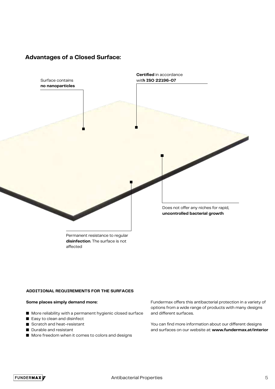#### **Advantages of a Closed Surface:**



Permanent resistance to regular **disinfection**. The surface is not affected

#### **ADDITIONAL REQUIREMENTS FOR THE SURFACES**

#### **Some places simply demand more:**

- **More reliability with a permanent hygienic closed surface**
- Easy to clean and disinfect
- Scratch and heat-resistant
- Durable and resistant
- **More freedom when it comes to colors and designs**

Fundermax offers this antibacterial protection in a variety of options from a wide range of products with many designs and different surfaces.

You can find more information about our different designs and surfaces on our website at: **www.fundermax.at/interior**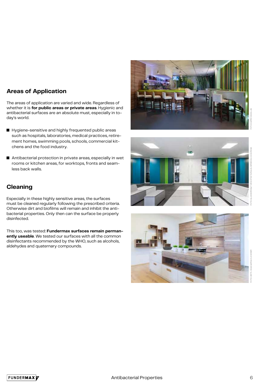### **Areas of Application**

The areas of application are varied and wide. Regardless of whether it is **for public areas or private areas**. Hygienic and antibacterial surfaces are an absolute must, especially in today's world.

- **E** Hygiene-sensitive and highly frequented public areas such as hospitals, laboratories, medical practices, retirement homes, swimming pools, schools, commercial kitchens and the food industry.
- $\blacksquare$  Antibacterial protection in private areas, especially in wet rooms or kitchen areas, for worktops, fronts and seamless back walls.







Especially in these highly sensitive areas, the surfaces must be cleaned regularly following the prescribed criteria. Otherwise dirt and biofilms will remain and inhibit the antibacterial properties. Only then can the surface be properly disinfected.

This too, was tested: **Fundermax surfaces remain permanently useable**. We tested our surfaces with all the common disinfectants recommended by the WHO, such as alcohols, aldehydes and quaternary compounds.

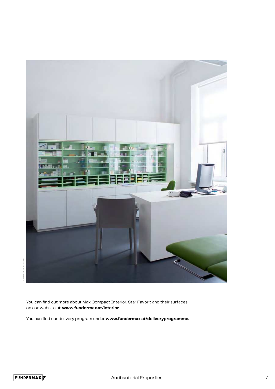

You can find out more about Max Compact Interior, Star Favorit and their surfaces on our website at: **www.fundermax.at/interior**.

You can find our delivery program under **www.fundermax.at/deliveryprogramme.**